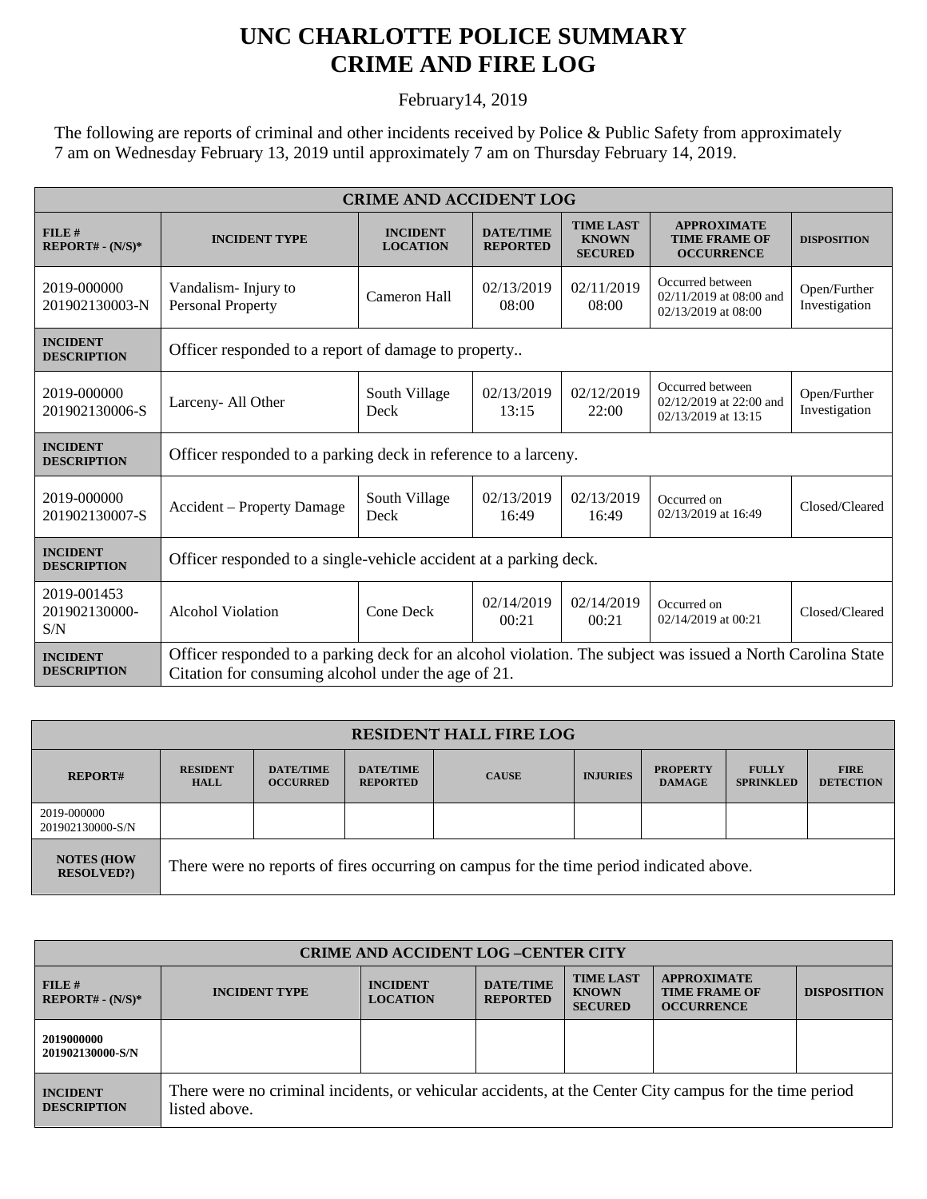## **UNC CHARLOTTE POLICE SUMMARY CRIME AND FIRE LOG**

February14, 2019

The following are reports of criminal and other incidents received by Police & Public Safety from approximately 7 am on Wednesday February 13, 2019 until approximately 7 am on Thursday February 14, 2019.

| <b>CRIME AND ACCIDENT LOG</b>         |                                                                                                                                                                    |                                    |                                     |                                                    |                                                                    |                               |  |
|---------------------------------------|--------------------------------------------------------------------------------------------------------------------------------------------------------------------|------------------------------------|-------------------------------------|----------------------------------------------------|--------------------------------------------------------------------|-------------------------------|--|
| FILE#<br>$REPORT# - (N/S)*$           | <b>INCIDENT TYPE</b>                                                                                                                                               | <b>INCIDENT</b><br><b>LOCATION</b> | <b>DATE/TIME</b><br><b>REPORTED</b> | <b>TIME LAST</b><br><b>KNOWN</b><br><b>SECURED</b> | <b>APPROXIMATE</b><br><b>TIME FRAME OF</b><br><b>OCCURRENCE</b>    | <b>DISPOSITION</b>            |  |
| 2019-000000<br>201902130003-N         | Vandalism-Injury to<br><b>Personal Property</b>                                                                                                                    | Cameron Hall                       | 02/13/2019<br>08:00                 | 02/11/2019<br>08:00                                | Occurred between<br>02/11/2019 at 08:00 and<br>02/13/2019 at 08:00 | Open/Further<br>Investigation |  |
| <b>INCIDENT</b><br><b>DESCRIPTION</b> | Officer responded to a report of damage to property                                                                                                                |                                    |                                     |                                                    |                                                                    |                               |  |
| 2019-000000<br>201902130006-S         | Larceny- All Other                                                                                                                                                 | South Village<br>Deck              | 02/13/2019<br>13:15                 | 02/12/2019<br>22:00                                | Occurred between<br>02/12/2019 at 22:00 and<br>02/13/2019 at 13:15 | Open/Further<br>Investigation |  |
| <b>INCIDENT</b><br><b>DESCRIPTION</b> | Officer responded to a parking deck in reference to a larceny.                                                                                                     |                                    |                                     |                                                    |                                                                    |                               |  |
| 2019-000000<br>201902130007-S         | Accident - Property Damage                                                                                                                                         | South Village<br>Deck              | 02/13/2019<br>16:49                 | 02/13/2019<br>16:49                                | Occurred on<br>02/13/2019 at 16:49                                 | Closed/Cleared                |  |
| <b>INCIDENT</b><br><b>DESCRIPTION</b> | Officer responded to a single-vehicle accident at a parking deck.                                                                                                  |                                    |                                     |                                                    |                                                                    |                               |  |
| 2019-001453<br>201902130000-<br>S/N   | <b>Alcohol Violation</b>                                                                                                                                           | Cone Deck                          | 02/14/2019<br>00:21                 | 02/14/2019<br>00:21                                | Occurred on<br>02/14/2019 at 00:21                                 | Closed/Cleared                |  |
| <b>INCIDENT</b><br><b>DESCRIPTION</b> | Officer responded to a parking deck for an alcohol violation. The subject was issued a North Carolina State<br>Citation for consuming alcohol under the age of 21. |                                    |                                     |                                                    |                                                                    |                               |  |

| <b>RESIDENT HALL FIRE LOG</b>           |                                                                                         |                                     |                                     |              |                 |                                  |                                  |                                 |
|-----------------------------------------|-----------------------------------------------------------------------------------------|-------------------------------------|-------------------------------------|--------------|-----------------|----------------------------------|----------------------------------|---------------------------------|
| <b>REPORT#</b>                          | <b>RESIDENT</b><br><b>HALL</b>                                                          | <b>DATE/TIME</b><br><b>OCCURRED</b> | <b>DATE/TIME</b><br><b>REPORTED</b> | <b>CAUSE</b> | <b>INJURIES</b> | <b>PROPERTY</b><br><b>DAMAGE</b> | <b>FULLY</b><br><b>SPRINKLED</b> | <b>FIRE</b><br><b>DETECTION</b> |
| 2019-000000<br>201902130000-S/N         |                                                                                         |                                     |                                     |              |                 |                                  |                                  |                                 |
| <b>NOTES (HOW)</b><br><b>RESOLVED?)</b> | There were no reports of fires occurring on campus for the time period indicated above. |                                     |                                     |              |                 |                                  |                                  |                                 |

| <b>CRIME AND ACCIDENT LOG-CENTER CITY</b> |                                                                                                                          |                                    |                                     |                                                    |                                                                 |                    |
|-------------------------------------------|--------------------------------------------------------------------------------------------------------------------------|------------------------------------|-------------------------------------|----------------------------------------------------|-----------------------------------------------------------------|--------------------|
| FILE H<br>$REPORT# - (N/S)*$              | <b>INCIDENT TYPE</b>                                                                                                     | <b>INCIDENT</b><br><b>LOCATION</b> | <b>DATE/TIME</b><br><b>REPORTED</b> | <b>TIME LAST</b><br><b>KNOWN</b><br><b>SECURED</b> | <b>APPROXIMATE</b><br><b>TIME FRAME OF</b><br><b>OCCURRENCE</b> | <b>DISPOSITION</b> |
| 2019000000<br>201902130000-S/N            |                                                                                                                          |                                    |                                     |                                                    |                                                                 |                    |
| <b>INCIDENT</b><br><b>DESCRIPTION</b>     | There were no criminal incidents, or vehicular accidents, at the Center City campus for the time period<br>listed above. |                                    |                                     |                                                    |                                                                 |                    |